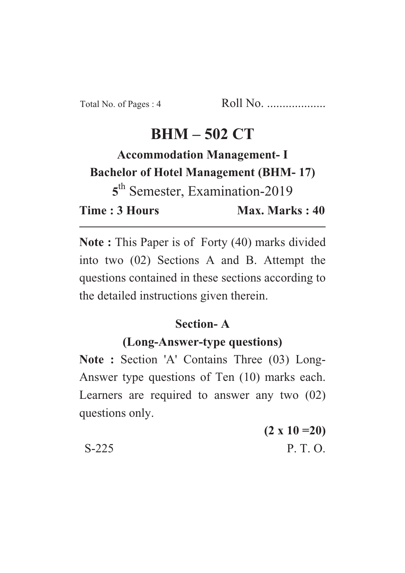## **BHM – 502 CT**

# **Accommodation Management- I Bachelor of Hotel Management (BHM- 17) 5** th Semester, Examination-2019 **Time : 3 Hours** Max. Marks : 40

**Note :** This Paper is of Forty (40) marks divided into two (02) Sections A and B. Attempt the questions contained in these sections according to the detailed instructions given therein.

#### **Section- A**

#### **(Long-Answer-type questions)**

Note : Section 'A' Contains Three (03) Long-Answer type questions of Ten (10) marks each. Learners are required to answer any two (02) questions only.

**(2 x 10 =20)** S-225 P. T. O.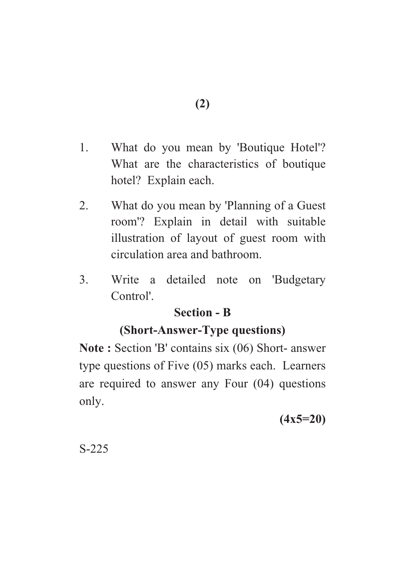- 1. What do you mean by 'Boutique Hotel'? What are the characteristics of boutique hotel? Explain each.
- 2. What do you mean by 'Planning of a Guest room'? Explain in detail with suitable illustration of layout of guest room with circulation area and bathroom.
- 3. Write a detailed note on 'Budgetary Control'.

#### **Section - B**

### **(Short-Answer-Type questions)**

**Note :** Section 'B' contains six (06) Short- answer type questions of Five (05) marks each. Learners are required to answer any Four (04) questions only.

**(4x5=20)**

S-225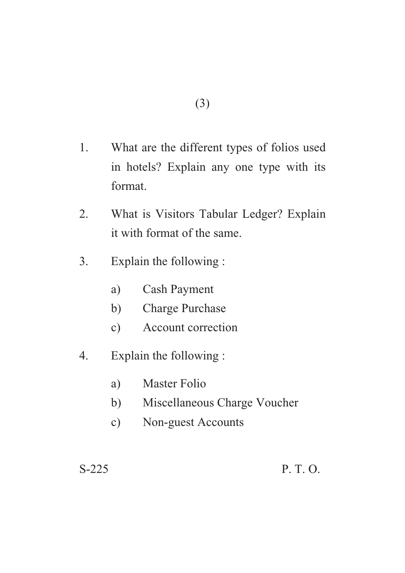- 1. What are the different types of folios used in hotels? Explain any one type with its format.
- 2. What is Visitors Tabular Ledger? Explain it with format of the same.
- 3. Explain the following :
	- a) Cash Payment
	- b) Charge Purchase
	- c) Account correction
- 4. Explain the following :
	- a) Master Folio
	- b) Miscellaneous Charge Voucher
	- c) Non-guest Accounts

S-225 P. T. O.